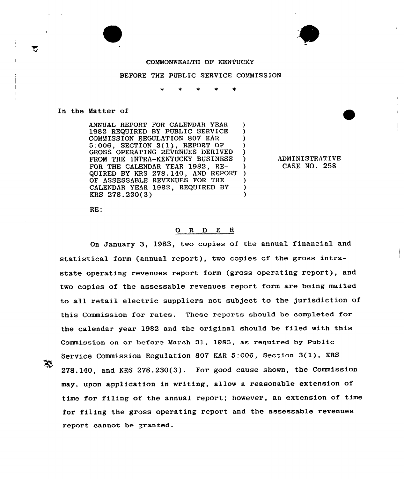## COMMONWEALTH OF KENTUCKY

### BEFORE THE PUBLIC SERVICE COMMISSION

#### In the Matter of

ANNUAL REPORT FOR CALENDAR YEAR (1982) REQUIRED BY PUBLIC SERVICE 1982 REQUIRED BY PUBLIC SERVICE )<br>COMMISSION BEGULATION 807 KAR COMMISSION REGULATION 807 KAR 5:006, SECTION 3(l), REPORT OF ) GROSS OPERATING REVENUES DERIVED FROM THE INTRA-KENTUCKY BUSINESS FOR THE CALENDAR YEAR 1982, RE-QUIRED BY KRS 278.140, AND REPORT OF ASSESSABLE REVENUES FOR THE CALENDAR YEAR 1982, REQUIRED BY  $\overrightarrow{Y}$ <br>
KBS 278 230(3) KRS 278.230(3)

ADMINISTRATIVE CASE NO. 258

RE:

## 0 R <sup>D</sup> E <sup>R</sup>

On January 3, 1983, two copies of the annual financial and statistical form (annual report), two copies of the gross intrastate operating revenues report form (gross operating report). and two copies of the assessable revenues report form are being mailed to all retail electric suppliers not subject to the jurisdiction of this Commission for rates. These reports should be completed for the calendar year 1982 and the original should be filed with this Commission on or before March 31, 1983, as required by Public Service Commission Regulation <sup>807</sup> KAR 5:006, Section 3(l), KRS 278.140, and KRS 278.230(3). For good cause shown, the Commission may, upon application in writing, allow a reasonable extension of time for filing of the annual report; however, an extension of time for filing the gross operating report and the assessable revenues report cannot be granted.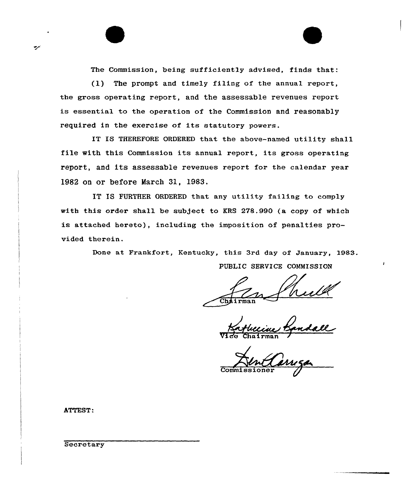The Commission, being sufficiently advised, finds that:

(1) The prompt and timely filing of the annual report, the gross operating report, and the assessable revenues report is essential to the operation of the Commission and reasonably required in the exercise of its statutory powers.

IT IS THEREFORE ORDERED that the above-named utility shall file with this Commission its annual report, its gross operating report, and its assessable revenues report for the calendar year 1982 on or before March 31, 1983.

IT IS FURTHER ORDERED that any utility failing to comply with this order shall be subject to KRS 278.990 (a copy of which is attached hereto), including the imposition of penalties provided therein.

> Done at Frankfort, Kentucky, this 3rd day of January, 1983. PUBLIC SERVICE COMMISSIOW

Chairman

Vico Chairma

Commissioner

ATTEST:

**Secretary**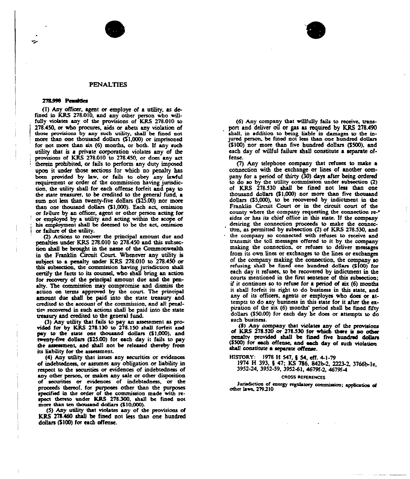



#### 278.990 Pensities

(I) Aay officer, agent or employe of a utility, as defined in KRS 278.010, and any other person who wiHfully violates any of the provisions of KRS 278.010 to 278.450, or who procures, aids or abets any violation of those provisions by any such utility, shall be fined not more than one thousand dollars (\$1,000) or imprisoned for not morc than six (6) months, or both. If aay such utihty that is a private oorporatioa violates aay of the previsions of KRS 278.010 to 278.450, or does any act therein prohibited, or fails to perform any duty imposed upon it under those sections for which no penalty has been provided by law, or fails to obey any lawful requirement or order of the commission having jurisdicuoa, tbc utility shaH for each offense forfeit and pay co the state treasurer, to be credited to the general fund, a sum not less than twenty-five dollars (\$25.00) aor more than oae thousand doUars (\$1,000). Each act, omission or fallure by an officer, agent or other person acting for or employed by a utility and acting within the scope of his employment shall be deemed to be the act, omission or failure of the utility.

(2) Actions to recover the principal amount due and penalties under KRS 278.010 to 278.450 and this subsection shall be brought in the aame of thc Commonwealth in the Franklin Circuit Court. Whenever any utility is subject to a penalty under KRS 278.010 to 278.450 or this subsection, the commission having jurisdiction shall certify tbc facts to its counsel, wbo sbaH bring an action for recovery of the principal amount due and the penalty. Tbe commission may compromise and dismiss the action on terms approved by the court. The principal amount due shall be paid into the state treasury and credited to the account of the commission, and all penalties recovered in such actions shall be paid into the state treasury and credited to the general fund.

(3) Any utility that faih co pay an assessment as provided for by KRS 278.130 to 278.150 shall forfeit and pay to the state one thousand dollars (\$1,000), and tweaty4ivc doHars (\$25.00) for each day it fails to pay the assessment, and shall not be released thereby from its liability for the assessment.

(4) Any utility that issues any securities or evidences of indebtedness, or assumes any obligation or liability in respect to the securities or evidences of indebtedness of any other person, or makes any sale or other disposition of securities or evidences of indebtedness, or the proceeds thereof, for purposes other than the purposes specified in the order of the commission made with respect thereto under KRS 278.300, shall be fined not more than ten thousand dollars (\$10,000).

(5) Any ucility that violates any of chc provisions ot KRS 278.460 shall be fmed not less than one hundred dollars (\$100) for each offense.

(6} Any company that wiHtully fails to receive, transport aad deliver oil or gas as required by KRS 278A90 shall, in addition to being liable in damages to the injured person, be fined not less than one hundred dollars (\$100) nor more than five hundred dollars (\$500), and each day of willful failure shall constitute a separate offense.

(7) Any telephone compaay that refuses to make a connection with the exchaage or lines of another company for a period of thirty (30) days after being ordered to do so by thc utility commission under subsoccios (2) of KRS 278.530 shaH be fined aot less than one thousand dollars (\$1,000) aor morc than five thousand dollars (\$5,000), to be recovered by indictment in the Franklin Circuit Court or in the circuit court of the county where the company requesting the connection reor has its chief office in this state. If the compan desiring the connection proceeds to make the connection, as permitted by subsection (2) of KRS 278.530, and the company so connected with refuses to receive and transmit the toll messages offered co it by the company mating the connection, or refuses to deliver messages from its own lines or exchanges to the lines or exchanges of the company making the connection, the company so refusing shall be tined one hundred doHars (\$100} tor each day it refuses, to be recovered by indictment in the courts mentioned in the first sentence of this subsection; if it continues so to refuse for a period of six (6) months it shall forfeit its right to do business in this state, and any of its officers, agents or employes who does or attempts to do aay busmcss in this state for it after the expiration of the six (6) months' period shall be fined fifty dollars (\$50.00) for each day be does or attempts co do such business.

(8} Any company that viohstcs any ot the provisions ot KRS 278.520 or 278.530 for which there is ao ocher penalty provided shall be fined five hundred dollars (\$500) for each offense, and each day of such violation shall constitute a separate offense.

HISYGRY: 1978 H 547, 8 54, eff. 4-1-79

1974 H 393. 8 47; KS 786. 842b-2, 2223-2, 3766b-le, 3952-24, 3952-59, 395241, 4679f-2,

#### **CROSS REFERENCES**

Jurisdiction of energy regulatory commission; application of ether laws, 2792l0